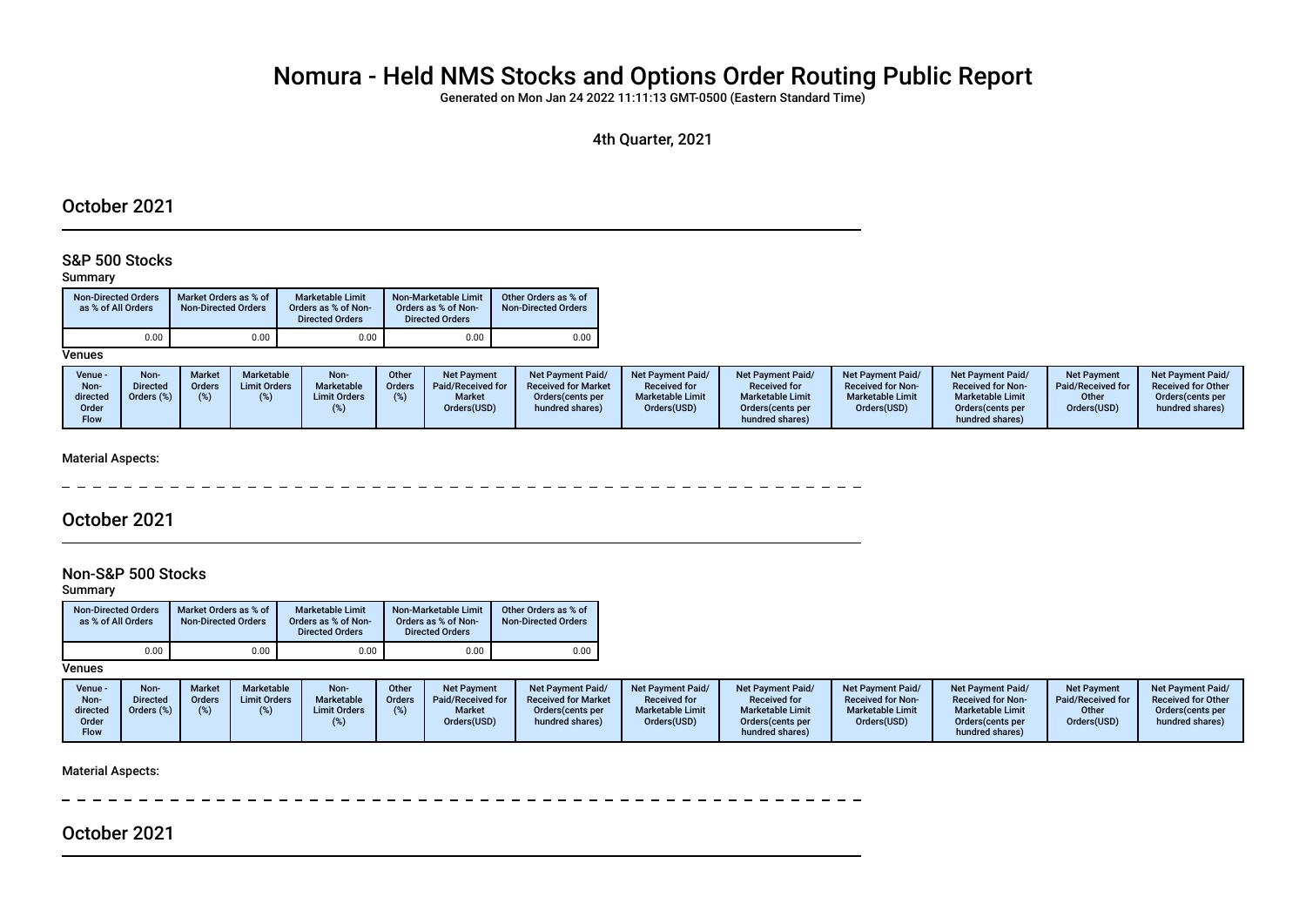# Nomura - Held NMS Stocks and Options Order Routing Public Report

Generated on Mon Jan 24 2022 11:11:13 GMT-0500 (Eastern Standard Time)

4th Quarter, 2021

### October 2021

### S&P 500 Stocks

#### Summary

| <b>Non-Directed Orders</b><br>as % of All Orders | Market Orders as % of<br><b>Non-Directed Orders</b> | <b>Marketable Limit</b><br>Orders as % of Non-<br><b>Directed Orders</b> | Non-Marketable Limit<br>Orders as % of Non-<br><b>Directed Orders</b> | Other Orders as % of<br><b>Non-Directed Orders</b> |
|--------------------------------------------------|-----------------------------------------------------|--------------------------------------------------------------------------|-----------------------------------------------------------------------|----------------------------------------------------|
| 0.00                                             | 0.00                                                | 0.00                                                                     | 0.00                                                                  | 0.00                                               |

**Venues** 

#### Material Aspects:

 $\frac{1}{2}$  $- - - - - - - - -$ 

### October 2021

### Non-S&P 500 Stocks

Summary

| <b>Non-Directed Orders</b><br>as % of All Orders | Market Orders as % of<br><b>Non-Directed Orders</b> | <b>Marketable Limit</b><br>Orders as % of Non-<br><b>Directed Orders</b> | Non-Marketable Limit<br>Orders as % of Non-<br><b>Directed Orders</b> | Other Orders as % of<br><b>Non-Directed Orders</b> |
|--------------------------------------------------|-----------------------------------------------------|--------------------------------------------------------------------------|-----------------------------------------------------------------------|----------------------------------------------------|
| 0.00                                             | 0.00                                                | 0.00                                                                     | 0.00                                                                  | 0.00                                               |

**Venues** 

| Venue -<br>Non-<br>directed<br>Order<br><b>Flow</b> | Non-<br><b>Directed</b><br>Orders (%) | Market<br>Orders | <b>Marketable</b><br><b>Limit Orders</b> | Non-<br>Marketable<br><b>Limit Orders</b> | Other<br><b>Orders</b> | Net Payment<br>Paid/Received for<br><b>Market</b><br>Orders(USD) | <b>Net Payment Paid/</b><br><b>Received for Market</b><br>Orders(cents per<br>hundred shares) | <b>Net Payment Paid/</b><br><b>Received for</b><br><b>Marketable Limit</b><br>Orders(USD) | <b>Net Payment Paid/</b><br><b>Received for</b><br><b>Marketable Limit</b><br>Orders (cents per<br>hundred shares) | Net Payment Paid/<br><b>Received for Non-</b><br><b>Marketable Limit</b><br>Orders(USD) | Net Payment Paid/<br><b>Received for Non-</b><br><b>Marketable Limit</b><br>Orders (cents per<br>hundred shares) | <b>Net Payment</b><br>Paid/Received for<br>Other<br>Orders(USD) | <b>Net Payment Paid/</b><br><b>Received for Other</b><br>Orders (cents per<br>hundred shares) |
|-----------------------------------------------------|---------------------------------------|------------------|------------------------------------------|-------------------------------------------|------------------------|------------------------------------------------------------------|-----------------------------------------------------------------------------------------------|-------------------------------------------------------------------------------------------|--------------------------------------------------------------------------------------------------------------------|-----------------------------------------------------------------------------------------|------------------------------------------------------------------------------------------------------------------|-----------------------------------------------------------------|-----------------------------------------------------------------------------------------------|
|-----------------------------------------------------|---------------------------------------|------------------|------------------------------------------|-------------------------------------------|------------------------|------------------------------------------------------------------|-----------------------------------------------------------------------------------------------|-------------------------------------------------------------------------------------------|--------------------------------------------------------------------------------------------------------------------|-----------------------------------------------------------------------------------------|------------------------------------------------------------------------------------------------------------------|-----------------------------------------------------------------|-----------------------------------------------------------------------------------------------|

Material Aspects:

October 2021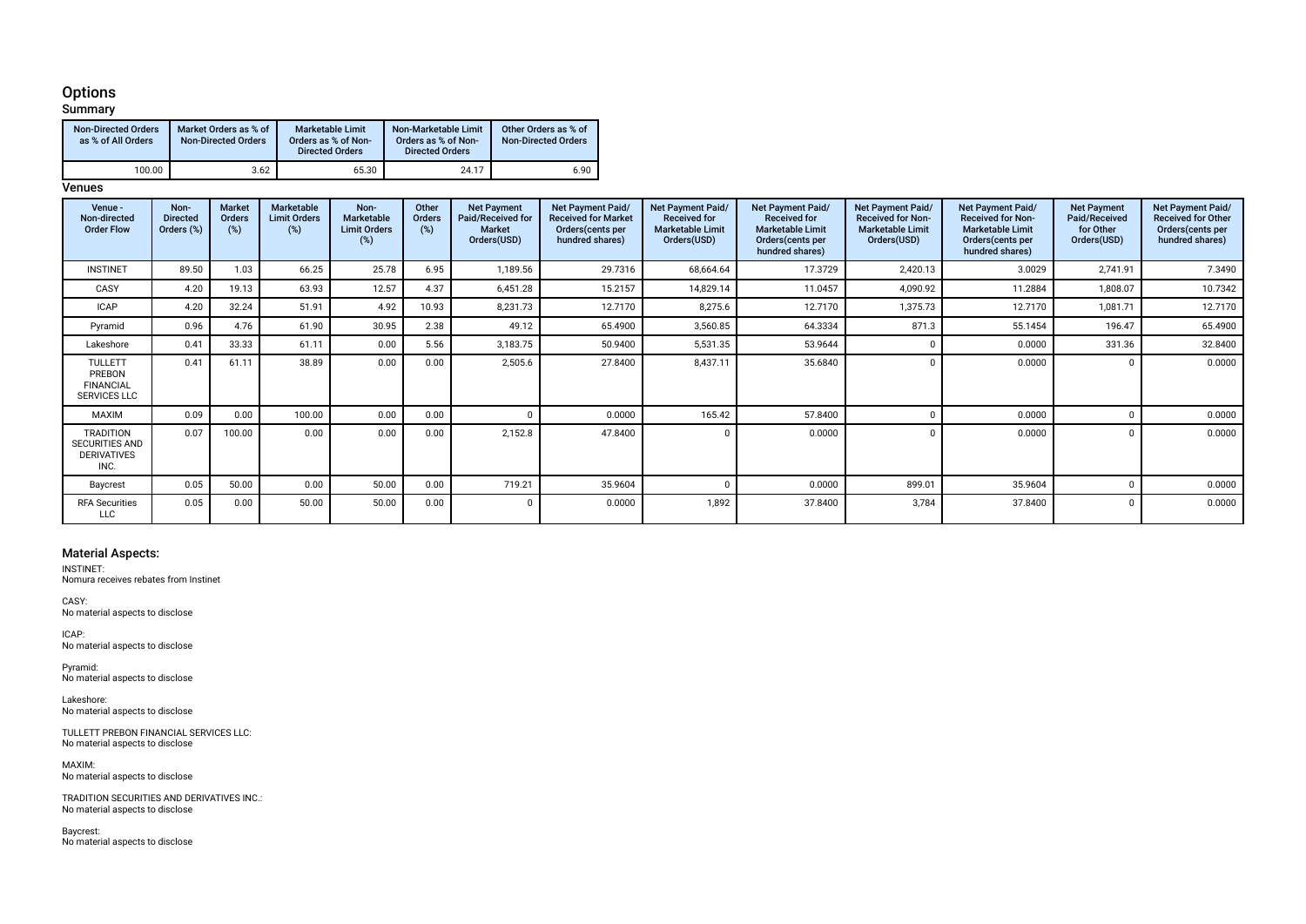### **Options**

#### **Summary** Non-Directed Orders as % of All Orders Market Orders as % of Non-Directed Orders Marketable Limit Orders as % of Non-Directed Orders Non-Marketable Limit Orders as % of Non-Directed Orders Other Orders as % of Non-Directed Orders 100.00 **1** 3.62 65.30 24.17 6.90

#### **Venues**

| Venue -<br>Non-directed<br><b>Order Flow</b>                            | Non-<br><b>Directed</b><br>Orders (%) | Market<br>Orders<br>$(\%)$ | <b>Marketable</b><br><b>Limit Orders</b><br>(%) | Non-<br>Marketable<br><b>Limit Orders</b><br>(%) | Other<br>Orders<br>(%) | <b>Net Payment</b><br>Paid/Received for<br><b>Market</b><br>Orders(USD) | Net Payment Paid/<br><b>Received for Market</b><br>Orders (cents per<br>hundred shares) | Net Payment Paid/<br><b>Received for</b><br><b>Marketable Limit</b><br>Orders(USD) | Net Payment Paid/<br><b>Received for</b><br><b>Marketable Limit</b><br>Orders(cents per<br>hundred shares) | <b>Net Payment Paid/</b><br><b>Received for Non-</b><br><b>Marketable Limit</b><br>Orders(USD) | Net Payment Paid/<br><b>Received for Non-</b><br><b>Marketable Limit</b><br>Orders(cents per<br>hundred shares) | <b>Net Payment</b><br>Paid/Received<br>for Other<br>Orders(USD) | Net Payment Paid/<br><b>Received for Other</b><br>Orders(cents per<br>hundred shares) |
|-------------------------------------------------------------------------|---------------------------------------|----------------------------|-------------------------------------------------|--------------------------------------------------|------------------------|-------------------------------------------------------------------------|-----------------------------------------------------------------------------------------|------------------------------------------------------------------------------------|------------------------------------------------------------------------------------------------------------|------------------------------------------------------------------------------------------------|-----------------------------------------------------------------------------------------------------------------|-----------------------------------------------------------------|---------------------------------------------------------------------------------------|
| <b>INSTINET</b>                                                         | 89.50                                 | 1.03                       | 66.25                                           | 25.78                                            | 6.95                   | 1,189.56                                                                | 29.7316                                                                                 | 68,664.64                                                                          | 17.3729                                                                                                    | 2,420.13                                                                                       | 3.0029                                                                                                          | 2,741.91                                                        | 7.3490                                                                                |
| CASY                                                                    | 4.20                                  | 19.13                      | 63.93                                           | 12.57                                            | 4.37                   | 6,451.28                                                                | 15.2157                                                                                 | 14,829.14                                                                          | 11.0457                                                                                                    | 4,090.92                                                                                       | 11.2884                                                                                                         | 1,808.07                                                        | 10.7342                                                                               |
| <b>ICAP</b>                                                             | 4.20                                  | 32.24                      | 51.91                                           | 4.92                                             | 10.93                  | 8,231.73                                                                | 12.7170                                                                                 | 8,275.6                                                                            | 12.7170                                                                                                    | 1,375.73                                                                                       | 12.7170                                                                                                         | 1,081.71                                                        | 12.7170                                                                               |
| Pyramid                                                                 | 0.96                                  | 4.76                       | 61.90                                           | 30.95                                            | 2.38                   | 49.12                                                                   | 65.4900                                                                                 | 3,560.85                                                                           | 64.3334                                                                                                    | 871.3                                                                                          | 55.1454                                                                                                         | 196.47                                                          | 65.4900                                                                               |
| Lakeshore                                                               | 0.41                                  | 33.33                      | 61.11                                           | 0.00                                             | 5.56                   | 3,183.75                                                                | 50.9400                                                                                 | 5,531.35                                                                           | 53.9644                                                                                                    |                                                                                                | 0.0000                                                                                                          | 331.36                                                          | 32.8400                                                                               |
| <b>TULLETT</b><br>PREBON<br><b>FINANCIAL</b><br><b>SERVICES LLC</b>     | 0.41                                  | 61.11                      | 38.89                                           | 0.00                                             | 0.00                   | 2,505.6                                                                 | 27.8400                                                                                 | 8,437.11                                                                           | 35.6840                                                                                                    | $\Omega$                                                                                       | 0.0000                                                                                                          |                                                                 | 0.0000                                                                                |
| <b>MAXIM</b>                                                            | 0.09                                  | 0.00                       | 100.00                                          | 0.00                                             | 0.00                   |                                                                         | 0.0000                                                                                  | 165.42                                                                             | 57.8400                                                                                                    |                                                                                                | 0.0000                                                                                                          |                                                                 | 0.0000                                                                                |
| <b>TRADITION</b><br><b>SECURITIES AND</b><br><b>DERIVATIVES</b><br>INC. | 0.07                                  | 100.00                     | 0.00                                            | 0.00                                             | 0.00                   | 2,152.8                                                                 | 47.8400                                                                                 | $\Omega$                                                                           | 0.0000                                                                                                     | $\Omega$                                                                                       | 0.0000                                                                                                          |                                                                 | 0.0000                                                                                |
| Baycrest                                                                | 0.05                                  | 50.00                      | 0.00                                            | 50.00                                            | 0.00                   | 719.21                                                                  | 35.9604                                                                                 |                                                                                    | 0.0000                                                                                                     | 899.01                                                                                         | 35.9604                                                                                                         |                                                                 | 0.0000                                                                                |
| <b>RFA Securities</b><br><b>LLC</b>                                     | 0.05                                  | 0.00                       | 50.00                                           | 50.00                                            | 0.00                   |                                                                         | 0.0000                                                                                  | 1,892                                                                              | 37.8400                                                                                                    | 3,784                                                                                          | 37.8400                                                                                                         |                                                                 | 0.0000                                                                                |

#### Material Aspects:

INSTINET:

Nomura receives rebates from Instinet

CASY: No material aspects to disclose

ICAP: No material aspects to disclose

Pyramid: No material aspects to disclose

Lakeshore: No material aspects to disclose

TULLETT PREBON FINANCIAL SERVICES LLC: No material aspects to disclose

MAXIM: No material aspects to disclose

TRADITION SECURITIES AND DERIVATIVES INC.: No material aspects to disclose

Baycrest: No material aspects to disclose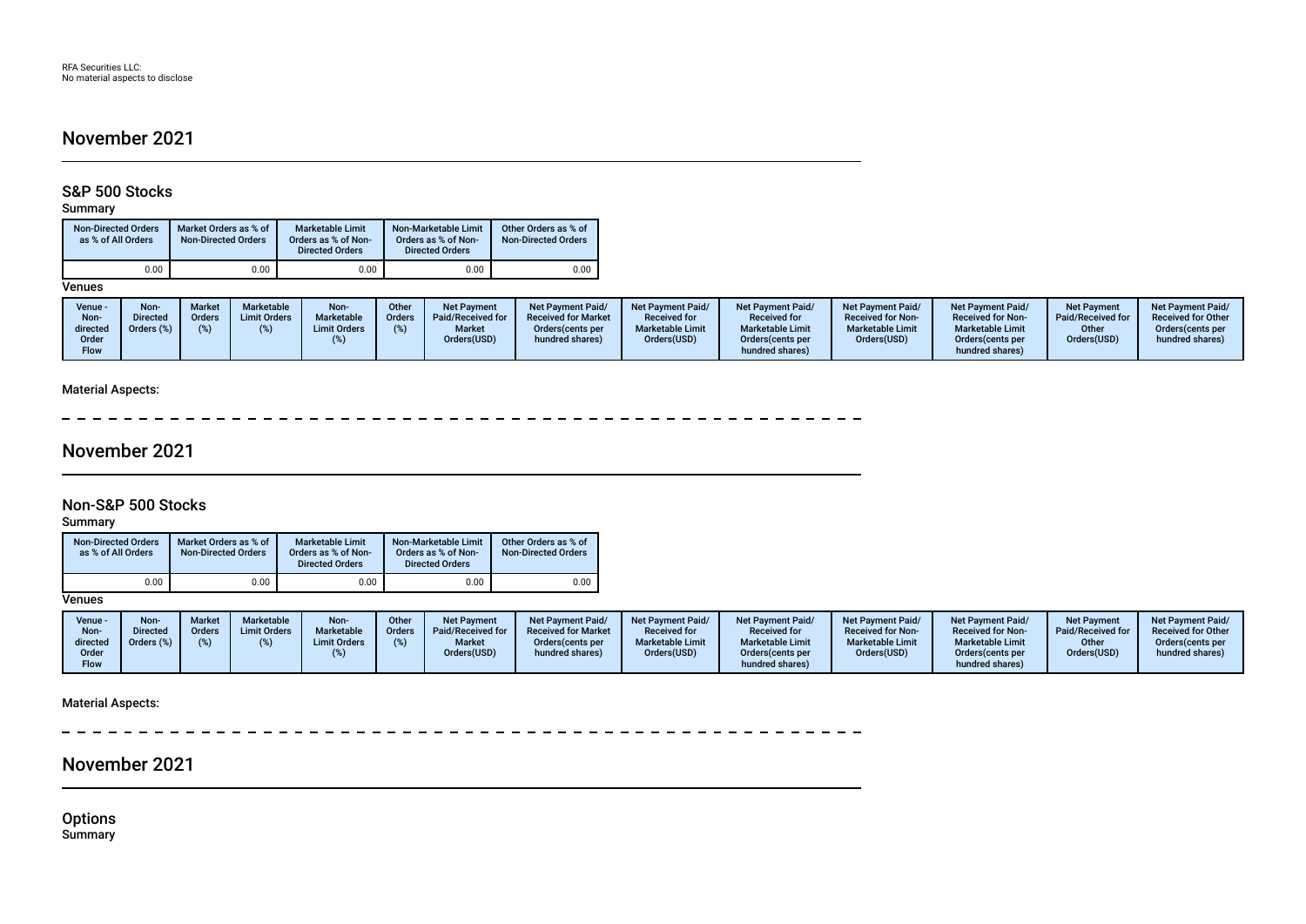### November 2021

### S&P 500 Stocks

Summary

| <b>Non-Directed Orders</b><br>as % of All Orders | Market Orders as % of<br><b>Non-Directed Orders</b> | <b>Marketable Limit</b><br>Orders as % of Non-<br><b>Directed Orders</b> | Non-Marketable Limit<br>Orders as % of Non-<br><b>Directed Orders</b> | Other Orders as % of<br><b>Non-Directed Orders</b> |  |
|--------------------------------------------------|-----------------------------------------------------|--------------------------------------------------------------------------|-----------------------------------------------------------------------|----------------------------------------------------|--|
| 0.00                                             | 0.00                                                | 0.00                                                                     | 0.00                                                                  | 0.00                                               |  |

#### **Venues**

| Venue -<br>Non- | <b>Non-</b><br><b>Directed</b> | Market<br>Orders | Marketable<br><b>Limit Orders</b> | Non-<br>Marketable  | Other<br><b>Orders</b> | Net Payment<br>Paid/Received for | <b>Net Payment Paid/</b><br><b>Received for Market</b> | <b>Net Payment Paid/</b><br><b>Received for</b> | <b>Net Payment Paid/</b><br><b>Received for</b> | <b>Net Payment Paid/</b><br><b>Received for Non-</b> | <b>Net Payment Paid/</b><br><b>Received for Non-</b> | <b>Net Payment</b><br>Paid/Received for | <b>Net Payment Paid/</b><br><b>Received for Other</b> |
|-----------------|--------------------------------|------------------|-----------------------------------|---------------------|------------------------|----------------------------------|--------------------------------------------------------|-------------------------------------------------|-------------------------------------------------|------------------------------------------------------|------------------------------------------------------|-----------------------------------------|-------------------------------------------------------|
| directed        | Orders (%)                     |                  |                                   | <b>Limit Orders</b> |                        | <b>Market</b>                    | Orders (cents per                                      | <b>Marketable Limit</b>                         | <b>Marketable Limit</b>                         | <b>Marketable Limit</b>                              | <b>Marketable Limit</b>                              | Other                                   | Orders (cents per                                     |
| Order           |                                |                  |                                   |                     |                        | Orders(USD)                      | hundred shares)                                        | Orders(USD)                                     | Orders (cents per                               | Orders(USD)                                          | Orders(cents per                                     | Orders(USD)                             | hundred shares)                                       |
| <b>Flow</b>     |                                |                  |                                   |                     |                        |                                  |                                                        |                                                 | hundred shares)                                 |                                                      | hundred shares)                                      |                                         |                                                       |

### Material Aspects:

 $\sim$ ------------**Contract Contract Contract** 

### November 2021

### Non-S&P 500 Stocks

Summary

| <b>Non-Directed Orders</b><br>as % of All Orders | Market Orders as % of<br><b>Non-Directed Orders</b> | <b>Marketable Limit</b><br>Orders as % of Non-<br><b>Directed Orders</b> | Non-Marketable Limit<br>Orders as % of Non-<br><b>Directed Orders</b> | Other Orders as % of<br><b>Non-Directed Orders</b> |
|--------------------------------------------------|-----------------------------------------------------|--------------------------------------------------------------------------|-----------------------------------------------------------------------|----------------------------------------------------|
| 0.00                                             | 0.00                                                | 0.00                                                                     | 0.00                                                                  | 0.00                                               |

**Venues** 

| Venue -<br>Non-<br>directed<br>Order | Non-<br><b>Directed</b><br>Orders (%) | <b>Market</b><br>Orders | Marketable<br><b>Limit Orders</b> | Non-<br>Marketable<br><b>Limit Orders</b> | Other<br><b>Orders</b> | <b>Net Payment</b><br>Paid/Received for<br><b>Market</b><br>Orders(USD) | <b>Net Payment Paid/</b><br><b>Received for Market</b><br>Orders (cents per<br>hundred shares) | Net Payment Paid/<br><b>Received for</b><br><b>Marketable Limit</b><br>Orders(USD) | <b>Net Payment Paid/</b><br><b>Received for</b><br><b>Marketable Limit</b><br>Orders (cents per | Net Payment Paid/<br><b>Received for Non-</b><br><b>Marketable Limit</b><br>Orders(USD) | Net Payment Paid/<br><b>Received for Non-</b><br><b>Marketable Limit</b><br>Orders(cents per | Net Payment<br>Paid/Received for<br>Other<br>Orders(USD) | <b>Net Payment Paid/</b><br><b>Received for Other</b><br>Orders (cents per<br>hundred shares) |
|--------------------------------------|---------------------------------------|-------------------------|-----------------------------------|-------------------------------------------|------------------------|-------------------------------------------------------------------------|------------------------------------------------------------------------------------------------|------------------------------------------------------------------------------------|-------------------------------------------------------------------------------------------------|-----------------------------------------------------------------------------------------|----------------------------------------------------------------------------------------------|----------------------------------------------------------|-----------------------------------------------------------------------------------------------|
| Flow                                 |                                       |                         |                                   |                                           |                        |                                                                         |                                                                                                |                                                                                    | hundred shares)                                                                                 |                                                                                         | hundred shares)                                                                              |                                                          |                                                                                               |

Material Aspects:

 $\equiv$  $-$ 

### November 2021

**Options** Summary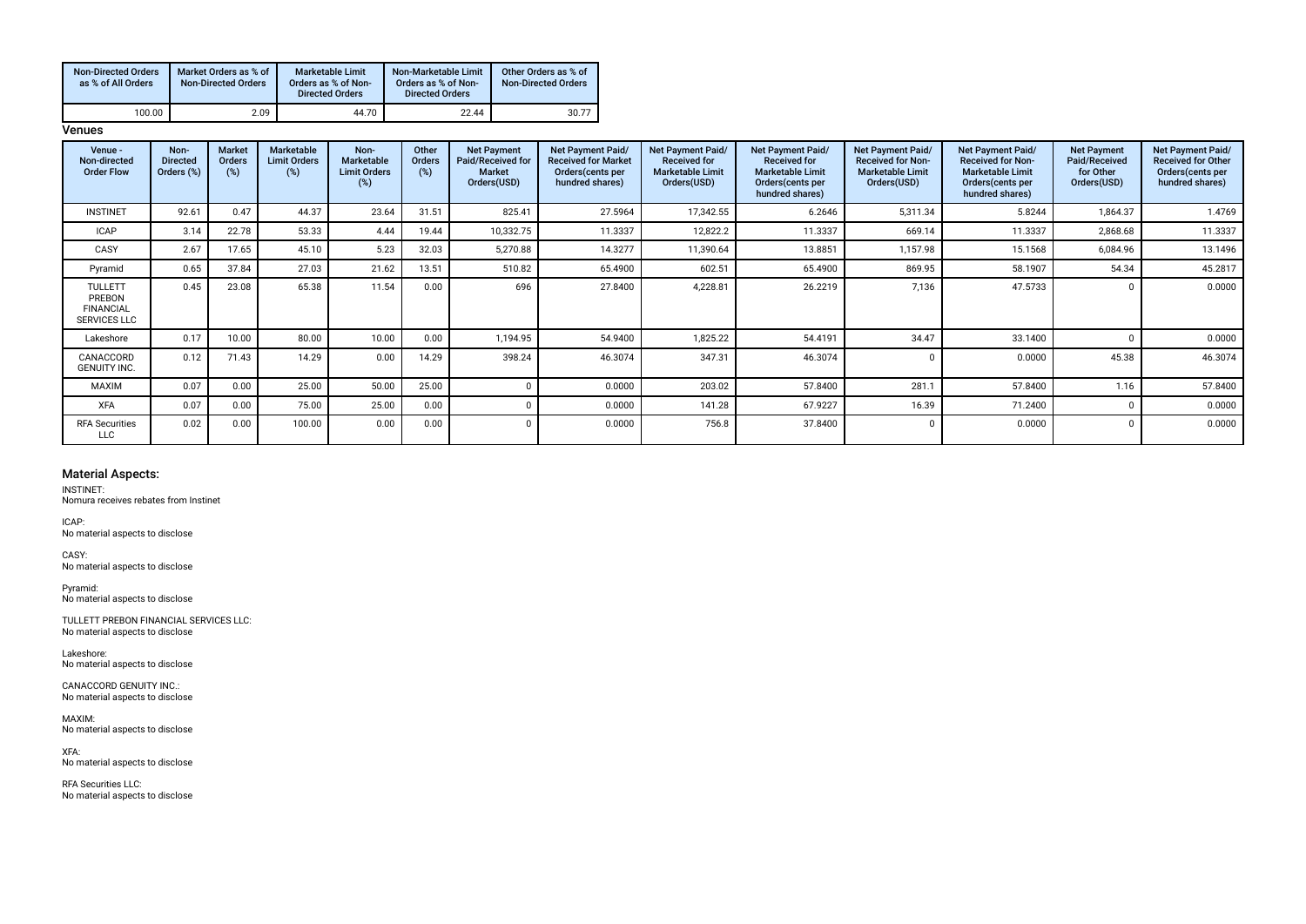| <b>Non-Directed Orders</b><br>as % of All Orders | Market Orders as % of<br><b>Non-Directed Orders</b> | <b>Marketable Limit</b><br>Orders as % of Non-<br><b>Directed Orders</b> | Non-Marketable Limit<br>Orders as % of Non-<br><b>Directed Orders</b> | Other Orders as % of<br><b>Non-Directed Orders</b> |
|--------------------------------------------------|-----------------------------------------------------|--------------------------------------------------------------------------|-----------------------------------------------------------------------|----------------------------------------------------|
| 100.00                                           | 2.09                                                | 44.70                                                                    | 22.44                                                                 | 30.77                                              |

**Venues** 

| Venue -<br>Non-directed<br><b>Order Flow</b>                        | Non-<br><b>Directed</b><br>Orders (%) | Market<br>Orders<br>$(\%)$ | Marketable<br><b>Limit Orders</b><br>$(\%)$ | Non-<br>Marketable<br><b>Limit Orders</b><br>(%) | Other<br><b>Orders</b><br>(%) | <b>Net Payment</b><br>Paid/Received for<br><b>Market</b><br>Orders(USD) | Net Payment Paid/<br><b>Received for Market</b><br>Orders (cents per<br>hundred shares) | <b>Net Payment Paid/</b><br><b>Received for</b><br><b>Marketable Limit</b><br>Orders(USD) | Net Payment Paid/<br><b>Received for</b><br><b>Marketable Limit</b><br>Orders (cents per<br>hundred shares) | Net Payment Paid/<br><b>Received for Non-</b><br><b>Marketable Limit</b><br>Orders(USD) | Net Payment Paid/<br><b>Received for Non-</b><br><b>Marketable Limit</b><br>Orders (cents per<br>hundred shares) | <b>Net Payment</b><br>Paid/Received<br>for Other<br>Orders(USD) | Net Payment Paid/<br><b>Received for Other</b><br>Orders (cents per<br>hundred shares) |
|---------------------------------------------------------------------|---------------------------------------|----------------------------|---------------------------------------------|--------------------------------------------------|-------------------------------|-------------------------------------------------------------------------|-----------------------------------------------------------------------------------------|-------------------------------------------------------------------------------------------|-------------------------------------------------------------------------------------------------------------|-----------------------------------------------------------------------------------------|------------------------------------------------------------------------------------------------------------------|-----------------------------------------------------------------|----------------------------------------------------------------------------------------|
| <b>INSTINET</b>                                                     | 92.61                                 | 0.47                       | 44.37                                       | 23.64                                            | 31.51                         | 825.41                                                                  | 27.5964                                                                                 | 17,342.55                                                                                 | 6.2646                                                                                                      | 5,311.34                                                                                | 5.8244                                                                                                           | 1,864.37                                                        | 1.4769                                                                                 |
| <b>ICAP</b>                                                         | 3.14                                  | 22.78                      | 53.33                                       | 4.44                                             | 19.44                         | 10,332.75                                                               | 11.3337                                                                                 | 12,822.2                                                                                  | 11.3337                                                                                                     | 669.14                                                                                  | 11.3337                                                                                                          | 2,868.68                                                        | 11.3337                                                                                |
| CASY                                                                | 2.67                                  | 17.65                      | 45.10                                       | 5.23                                             | 32.03                         | 5,270.88                                                                | 14.3277                                                                                 | 11,390.64                                                                                 | 13.8851                                                                                                     | 1,157.98                                                                                | 15.1568                                                                                                          | 6,084.96                                                        | 13.1496                                                                                |
| Pyramid                                                             | 0.65                                  | 37.84                      | 27.03                                       | 21.62                                            | 13.51                         | 510.82                                                                  | 65.4900                                                                                 | 602.51                                                                                    | 65.4900                                                                                                     | 869.95                                                                                  | 58.1907                                                                                                          | 54.34                                                           | 45.2817                                                                                |
| <b>TULLETT</b><br>PREBON<br><b>FINANCIAL</b><br><b>SERVICES LLC</b> | 0.45                                  | 23.08                      | 65.38                                       | 11.54                                            | 0.00                          | 696                                                                     | 27.8400                                                                                 | 4,228.81                                                                                  | 26.2219                                                                                                     | 7,136                                                                                   | 47.5733                                                                                                          |                                                                 | 0.0000                                                                                 |
| Lakeshore                                                           | 0.17                                  | 10.00                      | 80.00                                       | 10.00                                            | 0.00                          | 1.194.95                                                                | 54.9400                                                                                 | 1,825.22                                                                                  | 54.4191                                                                                                     | 34.47                                                                                   | 33.1400                                                                                                          |                                                                 | 0.0000                                                                                 |
| CANACCORD<br><b>GENUITY INC.</b>                                    | 0.12                                  | 71.43                      | 14.29                                       | 0.00                                             | 14.29                         | 398.24                                                                  | 46.3074                                                                                 | 347.31                                                                                    | 46.3074                                                                                                     |                                                                                         | 0.0000                                                                                                           | 45.38                                                           | 46.3074                                                                                |
| MAXIM                                                               | 0.07                                  | 0.00                       | 25.00                                       | 50.00                                            | 25.00                         | $\Omega$                                                                | 0.0000                                                                                  | 203.02                                                                                    | 57.8400                                                                                                     | 281.1                                                                                   | 57.8400                                                                                                          | 1.16                                                            | 57.8400                                                                                |
| <b>XFA</b>                                                          | 0.07                                  | 0.00                       | 75.00                                       | 25.00                                            | 0.00                          | $\Omega$                                                                | 0.0000                                                                                  | 141.28                                                                                    | 67.9227                                                                                                     | 16.39                                                                                   | 71.2400                                                                                                          |                                                                 | 0.0000                                                                                 |
| <b>RFA Securities</b><br>LLC                                        | 0.02                                  | 0.00                       | 100.00                                      | 0.00                                             | 0.00                          | $\Omega$                                                                | 0.0000                                                                                  | 756.8                                                                                     | 37.8400                                                                                                     |                                                                                         | 0.0000                                                                                                           |                                                                 | 0.0000                                                                                 |

#### Material Aspects:

INSTINET: Nomura receives rebates from Instinet

ICAP:

No material aspects to disclose CASY:

No material aspects to disclose

Pyramid: No material aspects to disclose

TULLETT PREBON FINANCIAL SERVICES LLC: No material aspects to disclose

Lakeshore: No material aspects to disclose

CANACCORD GENUITY INC.: No material aspects to disclose

MAXIM: No material aspects to disclose

XFA: No material aspects to disclose

RFA Securities LLC: No material aspects to disclose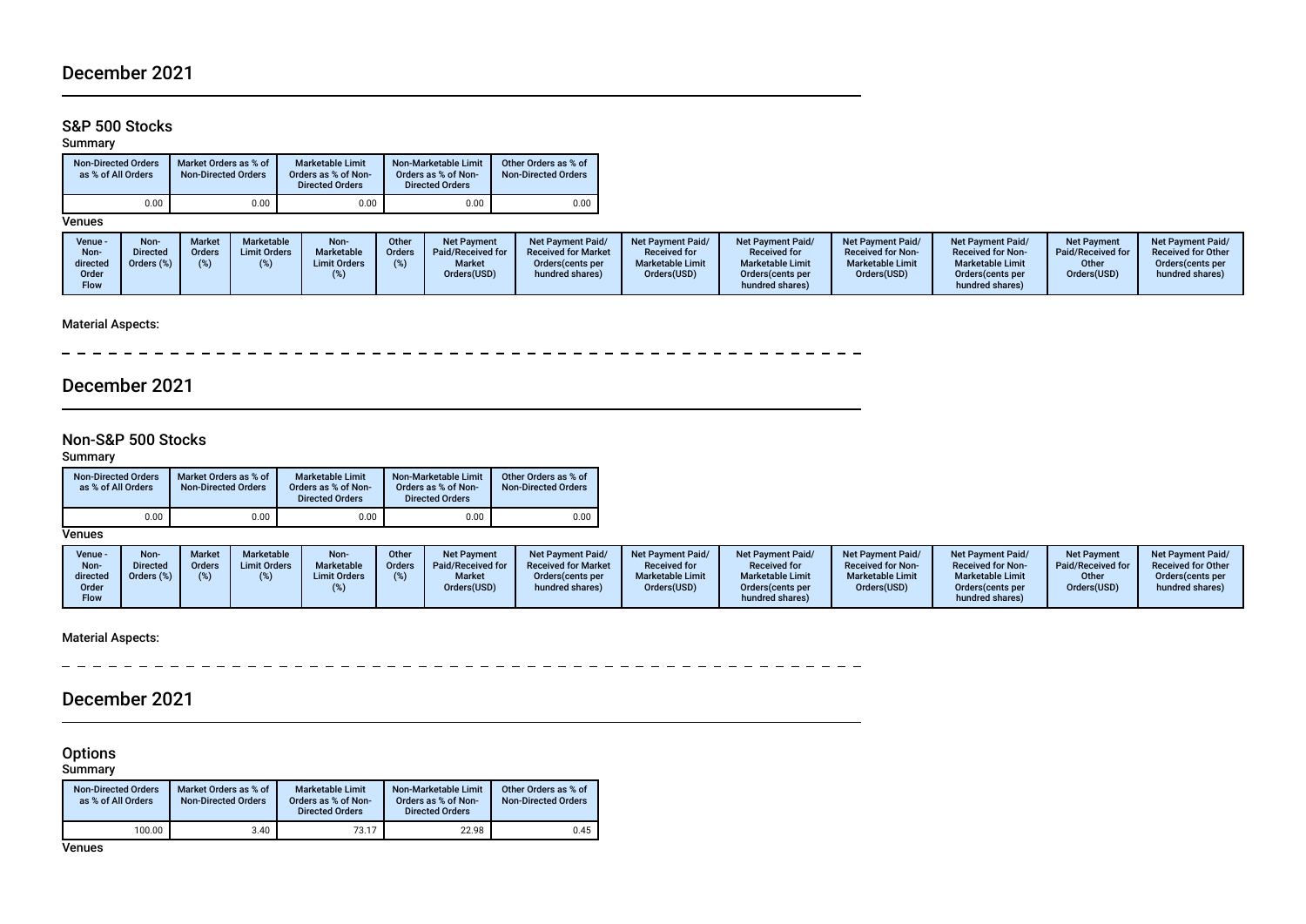### S&P 500 Stocks

#### Summary

| <b>Non-Directed Orders</b><br>as % of All Orders | Market Orders as % of<br><b>Non-Directed Orders</b> | Non-Marketable Limit<br><b>Marketable Limit</b><br>Orders as % of Non-<br>Orders as % of Non-<br><b>Directed Orders</b> |      | Other Orders as % of<br><b>Non-Directed Orders</b> |
|--------------------------------------------------|-----------------------------------------------------|-------------------------------------------------------------------------------------------------------------------------|------|----------------------------------------------------|
| $0.00\,$                                         | 0.00                                                | 0.00                                                                                                                    | 0.00 | 0.00                                               |

**Venues** 

| Venue -<br>Non-<br>directed<br>Order<br><b>Flow</b> | <b>Non-</b><br><b>Directed</b><br>Orders (%) | <b>Marketable</b><br>Marke<br><b>Limit Orders</b><br>Orders | Non-<br>Marketable<br><b>Limit Orders</b> | Other<br>Orders | Net Payment<br>Paid/Received for<br><b>Market</b><br>Orders(USD) | <b>Net Payment Paid/</b><br><b>Received for Market</b><br>Orders (cents per<br>hundred shares) | <b>Net Payment Paid/</b><br><b>Received for</b><br><b>Marketable Limit</b><br>Orders(USD) | <b>Net Payment Paid/</b><br><b>Received for</b><br><b>Marketable Limit</b><br>Orders (cents per<br>hundred shares) | <b>Net Payment Paid/</b><br><b>Received for Non-</b><br><b>Marketable Limit</b><br>Orders(USD) | <b>Net Payment Paid/</b><br><b>Received for Non-</b><br><b>Marketable Limit</b><br>Orders(cents per<br>hundred shares) | <b>Net Payment</b><br>Paid/Received for<br>Other<br>Orders(USD) | Net Payment Paid/<br><b>Received for Other</b><br>Orders(cents per<br>hundred shares) |
|-----------------------------------------------------|----------------------------------------------|-------------------------------------------------------------|-------------------------------------------|-----------------|------------------------------------------------------------------|------------------------------------------------------------------------------------------------|-------------------------------------------------------------------------------------------|--------------------------------------------------------------------------------------------------------------------|------------------------------------------------------------------------------------------------|------------------------------------------------------------------------------------------------------------------------|-----------------------------------------------------------------|---------------------------------------------------------------------------------------|
|-----------------------------------------------------|----------------------------------------------|-------------------------------------------------------------|-------------------------------------------|-----------------|------------------------------------------------------------------|------------------------------------------------------------------------------------------------|-------------------------------------------------------------------------------------------|--------------------------------------------------------------------------------------------------------------------|------------------------------------------------------------------------------------------------|------------------------------------------------------------------------------------------------------------------------|-----------------------------------------------------------------|---------------------------------------------------------------------------------------|

### Material Aspects:

\_\_\_\_\_\_\_\_\_\_\_\_\_\_\_\_\_\_\_\_\_\_\_\_\_\_\_\_ ---------Ĭ.

## December 2021

### Non-S&P 500 Stocks

#### Summary

| <b>Non-Directed Orders</b><br>as % of All Orders | Market Orders as % of<br><b>Non-Directed Orders</b> | <b>Marketable Limit</b><br>Orders as % of Non-<br><b>Directed Orders</b> | Non-Marketable Limit<br>Orders as % of Non-<br><b>Directed Orders</b> | Other Orders as % of<br><b>Non-Directed Orders</b> |
|--------------------------------------------------|-----------------------------------------------------|--------------------------------------------------------------------------|-----------------------------------------------------------------------|----------------------------------------------------|
| 0.00                                             | 0.00                                                | 0.00                                                                     | 0.00                                                                  | 0.00                                               |

**Venues** 

| Venue -<br>Non- | Non<br>Directed | <b>Market</b><br>Orders | Marketable<br><b>Limit Orders</b> | Non-<br>Marketable  | Other<br><b>Orders</b> | <b>Net Payment</b><br>Paid/Received for | <b>Net Payment Paid/</b><br><b>Received for Market</b> | <b>Net Payment Paid/</b><br><b>Received for</b> | <b>Net Payment Paid/</b><br><b>Received for</b> | <b>Net Payment Paid/</b><br><b>Received for Non-</b> | <b>Net Payment Paid/</b><br><b>Received for Non-</b> | <b>Net Payment</b><br>Paid/Received for | <b>Net Payment Paid/</b><br><b>Received for Other</b> |
|-----------------|-----------------|-------------------------|-----------------------------------|---------------------|------------------------|-----------------------------------------|--------------------------------------------------------|-------------------------------------------------|-------------------------------------------------|------------------------------------------------------|------------------------------------------------------|-----------------------------------------|-------------------------------------------------------|
| directed        | Orders (%)      |                         |                                   | <b>Limit Orders</b> |                        | <b>Market</b>                           | Orders(cents per                                       | <b>Marketable Limit</b>                         | <b>Marketable Limit</b>                         | <b>Marketable Limit</b>                              | <b>Marketable Limit</b>                              | Other                                   | Orders(cents per                                      |
| Order           |                 |                         |                                   |                     |                        | Orders(USD)                             | hundred shares)                                        | Orders(USD)                                     | Orders (cents per                               | Orders(USD)                                          | Orders(cents per                                     | Orders(USD)                             | hundred shares)                                       |
| Flow            |                 |                         |                                   |                     |                        |                                         |                                                        |                                                 | hundred shares)                                 |                                                      | hundred shares)                                      |                                         |                                                       |

Material Aspects:

\_\_\_\_\_\_\_\_\_\_\_\_\_\_\_\_\_\_\_\_\_\_\_\_\_\_  $- - - - - - - -$ 

## December 2021

#### **Options**

Summary

| <b>Non-Directed Orders</b><br>as % of All Orders | Market Orders as % of<br><b>Non-Directed Orders</b> | <b>Marketable Limit</b><br>Orders as % of Non-<br><b>Directed Orders</b> | Non-Marketable Limit<br>Orders as % of Non-<br><b>Directed Orders</b> | Other Orders as % of<br><b>Non-Directed Orders</b> |
|--------------------------------------------------|-----------------------------------------------------|--------------------------------------------------------------------------|-----------------------------------------------------------------------|----------------------------------------------------|
| 100.00                                           | 3.40                                                | 73.17                                                                    | 22.98                                                                 | 0.45                                               |

**Venues**